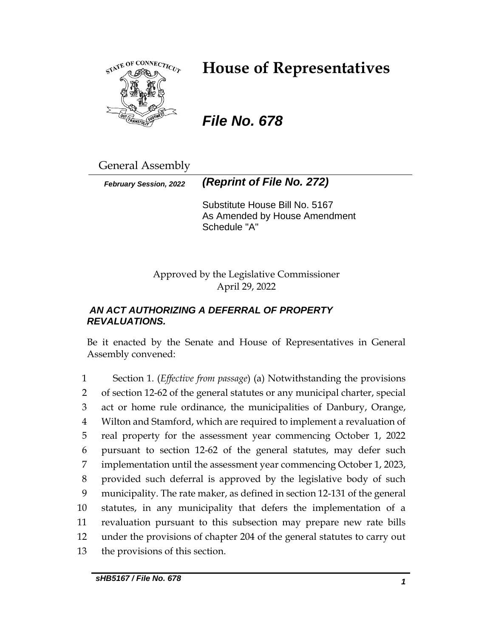

# **House of Representatives**

*File No. 678*

General Assembly

*February Session, 2022 (Reprint of File No. 272)*

Substitute House Bill No. 5167 As Amended by House Amendment Schedule "A"

Approved by the Legislative Commissioner April 29, 2022

# *AN ACT AUTHORIZING A DEFERRAL OF PROPERTY REVALUATIONS.*

Be it enacted by the Senate and House of Representatives in General Assembly convened:

 Section 1. (*Effective from passage*) (a) Notwithstanding the provisions of section 12-62 of the general statutes or any municipal charter, special act or home rule ordinance, the municipalities of Danbury, Orange, Wilton and Stamford, which are required to implement a revaluation of real property for the assessment year commencing October 1, 2022 pursuant to section 12-62 of the general statutes, may defer such implementation until the assessment year commencing October 1, 2023, provided such deferral is approved by the legislative body of such municipality. The rate maker, as defined in section 12-131 of the general statutes, in any municipality that defers the implementation of a revaluation pursuant to this subsection may prepare new rate bills under the provisions of chapter 204 of the general statutes to carry out the provisions of this section.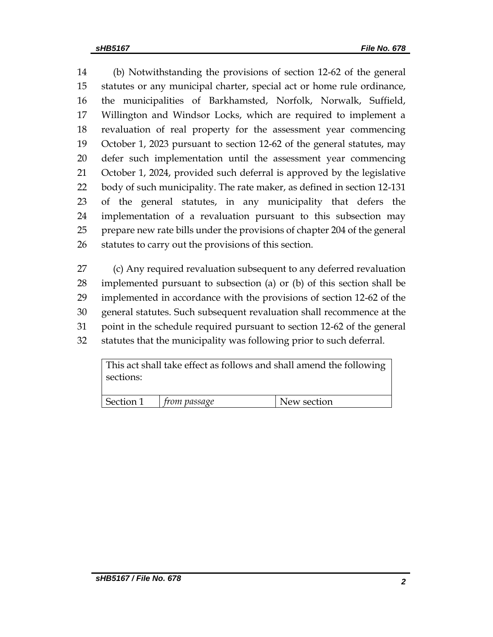(b) Notwithstanding the provisions of section 12-62 of the general statutes or any municipal charter, special act or home rule ordinance, the municipalities of Barkhamsted, Norfolk, Norwalk, Suffield, Willington and Windsor Locks, which are required to implement a revaluation of real property for the assessment year commencing October 1, 2023 pursuant to section 12-62 of the general statutes, may defer such implementation until the assessment year commencing October 1, 2024, provided such deferral is approved by the legislative body of such municipality. The rate maker, as defined in section 12-131 of the general statutes, in any municipality that defers the implementation of a revaluation pursuant to this subsection may prepare new rate bills under the provisions of chapter 204 of the general statutes to carry out the provisions of this section.

 (c) Any required revaluation subsequent to any deferred revaluation implemented pursuant to subsection (a) or (b) of this section shall be implemented in accordance with the provisions of section 12-62 of the general statutes. Such subsequent revaluation shall recommence at the point in the schedule required pursuant to section 12-62 of the general statutes that the municipality was following prior to such deferral.

This act shall take effect as follows and shall amend the following sections:

| Section 1 | trom passage | New section |
|-----------|--------------|-------------|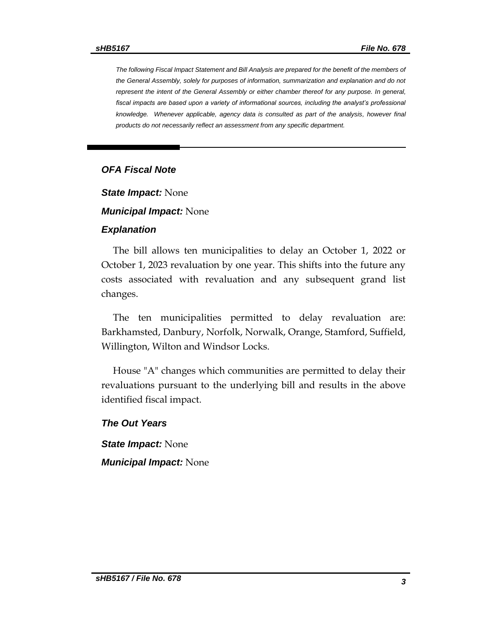*The following Fiscal Impact Statement and Bill Analysis are prepared for the benefit of the members of the General Assembly, solely for purposes of information, summarization and explanation and do not represent the intent of the General Assembly or either chamber thereof for any purpose. In general, fiscal impacts are based upon a variety of informational sources, including the analyst's professional*  knowledge. Whenever applicable, agency data is consulted as part of the analysis, however final *products do not necessarily reflect an assessment from any specific department.*

### *OFA Fiscal Note*

*State Impact:* None

*Municipal Impact:* None

#### *Explanation*

The bill allows ten municipalities to delay an October 1, 2022 or October 1, 2023 revaluation by one year. This shifts into the future any costs associated with revaluation and any subsequent grand list changes.

The ten municipalities permitted to delay revaluation are: Barkhamsted, Danbury, Norfolk, Norwalk, Orange, Stamford, Suffield, Willington, Wilton and Windsor Locks.

House "A" changes which communities are permitted to delay their revaluations pursuant to the underlying bill and results in the above identified fiscal impact.

#### *The Out Years*

*State Impact:* None *Municipal Impact:* None